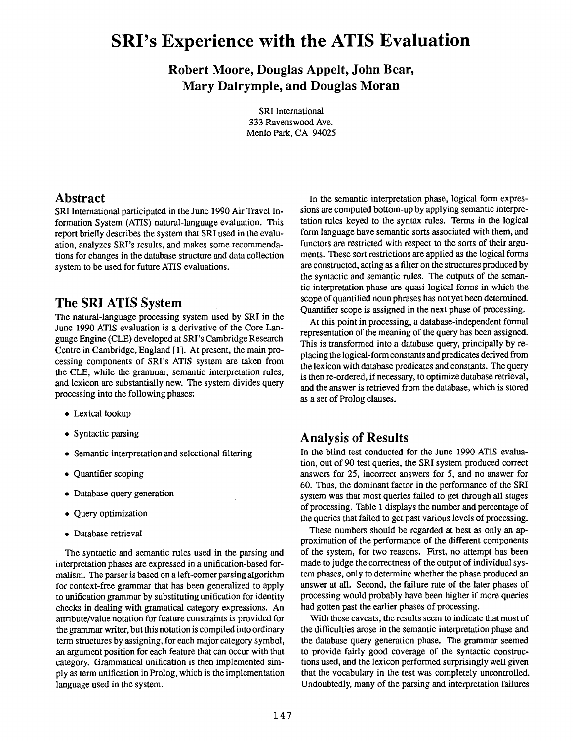# **SRI's Experience with the ATIS Evaluation**

**Robert Moore, Douglas Appelt, John Bear, Mary Dalrymple, and Douglas Moran** 

> SRI International **333** Ravenswood Ave. Menlo Park, CA 94025

#### **Abstract**

SRI International participated in the June 1990 Air Travel Information System (ATIS) natural-language evaluation. This report briefly describes the system that SRI used in the evaluation, analyzes SRI's results, and makes some recommendations for changes in the database structure and **data** collection system to be used for future ATIS evaluations.

## **The SRI ATIS System**

The natural-language processing system used by SRI in the June 1990 ATIS evaluation is a derivative of the Core Language Engine (CLE) developed at SRI's Cambridge Research Centre in Cambridge, England [I]. **At** present, the main processing components of SRI's ATIS system are taken from the CLE, while the grammar, semantic interpretation rules. and lexicon are substantially new. The system divides query processing into the following phases:

- Lexical lookup
- Syntactic parsing
- Semantic interpretation and selectional filtering
- Quantifier scoping
- Database query generation
- Query optimization
- Database retrieval

The syntactic and semantic rules used in the parsing and interpretation phases are expressed in a unification-based formalism. The parser is based on a left-comer parsing algorithm for context-free grammar that has been generalized to apply to unification grammar by substituting unification for identity checks in dealing with gramatical category expressions. An attribute/value notation for feature constraints is provided for the grammar writer, but this notation is compiled into ordinary term structures by assigning, for each major category symbol, an argument position for each feature that can occur with that category. Grammatical unification is then implemented simply as term unification in Prolog, which is the implementation language used in the system.

In the semantic interpretation phase, logical form expressions are computed bottom-up by applying semantic interpretation rules keyed to the syntax rules. Terms in the logical form language have semantic sorts associated with them, and functors are restricted with respect to the sorts of their arguments. These sort restrictions are applied as the logical forms are constructed, acting as a filter on the structures produced by the syntactic and semantic rules. The outputs of the semantic interpretation phase are quasi-logical forms in which the scope of quantified noun phrases has not yet been determined. Quantifier scope is assigned in the next phase of processing.

At this point in processing, a database-independent formal representation of the meaning of the query has been assigned. This is transformed into a database query, principally by replacing the logical-form constants and predicates derived from the lexicon with database predicates and constants. The query is then re-ordered, if necessary, to optimize database retrieval, and the answer is retrieved from the database, which is stored as a set of Prolog clauses.

### **Analysis of Results**

In the blind test conducted for the June 1990 ATIS evaluation, out of 90 test queries, the SRI system produced correct answers for 25, incorrect answers for 5, and no answer for 60. Thus, the dominant factor in the performance of the SRI system was that most queries failed to get through all stages of processing. Table 1 displays the number and percentage of the queries that failed to get past various levels of processing.

These numbers should be regarded at best as only an approximation of the performance of the different components of the system, for two reasons. First, no attempt has been made to judge the correctness of the output of individual system phases, only to determine whether the phase produced an answer at all. Second, the failure rate of the later phases of processing would probably have been higher if more queries had gotten past the earlier phases of processing.

With these caveats, the results seem to indicate that most of the difficulties arose in the semantic interpretation phase and the database query generation phase. The grammar seemed to provide fairly good coverage of the syntactic constructions used, and the lexicon performed surprisingly well given that the vocabulary in the test was completely uncontrolled. Undoubtedly, many of the parsing and interpretation failures